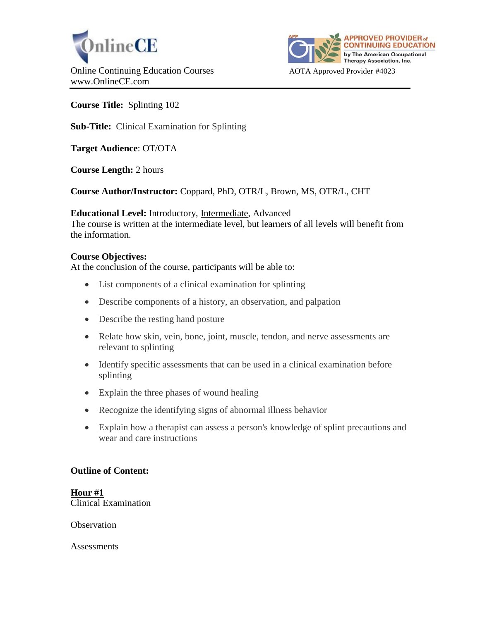



**Course Title:** Splinting 102

**Sub-Title:** Clinical Examination for Splinting

**Target Audience**: OT/OTA

**Course Length:** 2 hours

**Course Author/Instructor:** Coppard, PhD, OTR/L, Brown, MS, OTR/L, CHT

**Educational Level:** Introductory, Intermediate, Advanced

The course is written at the intermediate level, but learners of all levels will benefit from the information.

#### **Course Objectives:**

At the conclusion of the course, participants will be able to:

- List components of a clinical examination for splinting
- Describe components of a history, an observation, and palpation
- Describe the resting hand posture
- Relate how skin, vein, bone, joint, muscle, tendon, and nerve assessments are relevant to splinting
- Identify specific assessments that can be used in a clinical examination before splinting
- Explain the three phases of wound healing
- Recognize the identifying signs of abnormal illness behavior
- Explain how a therapist can assess a person's knowledge of splint precautions and wear and care instructions

#### **Outline of Content:**

**Hour #1** Clinical Examination

**Observation** 

**Assessments**